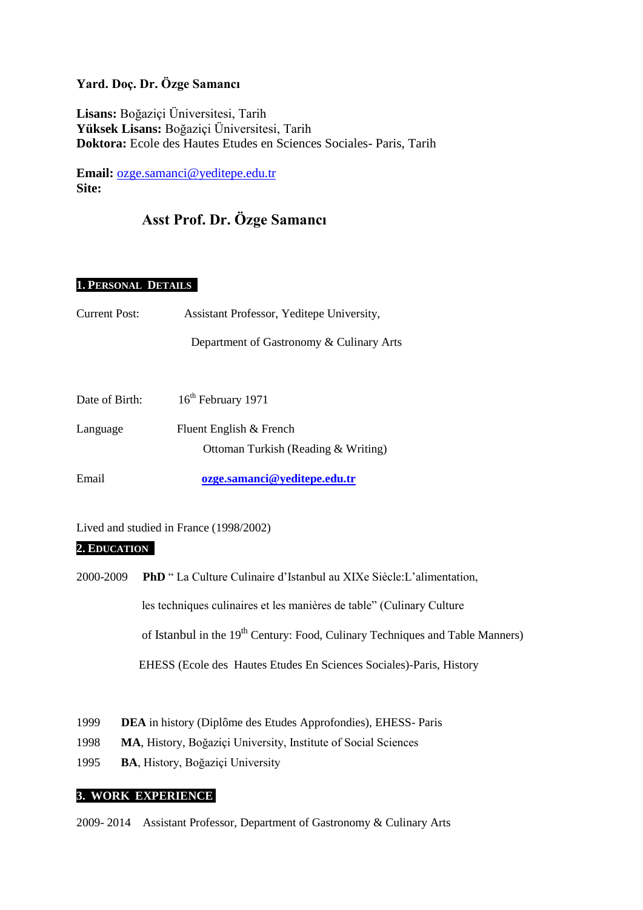# **Yard. Doç. Dr. Özge Samancı**

**Lisans:** Boğaziçi Üniversitesi, Tarih **Yüksek Lisans:** Boğaziçi Üniversitesi, Tarih **Doktora:** Ecole des Hautes Etudes en Sciences Sociales- Paris, Tarih

**Email:** [ozge.samanci@yeditepe.edu.tr](mailto:ozge.samanci@yeditepe.edu.tr)  **Site:** 

# **Asst Prof. Dr. Özge Samancı**

# **1. PERSONAL DETAILS**

- Current Post: Assistant Professor, Yeditepe University, Department of Gastronomy & Culinary Arts
- Date of Birth:  $16^{th}$  February 1971 Language Fluent English & French Ottoman Turkish (Reading & Writing)

Email **[ozge.samanci@yeditepe.edu.tr](mailto:ozge.samanci@yeditepe.edu.tr)**

Lived and studied in France (1998/2002)

#### **2. EDUCATION**

- 2000-2009 **PhD** " La Culture Culinaire d'Istanbul au XIXe Siècle:L'alimentation, les techniques culinaires et les manières de table" (Culinary Culture of Istanbul in the  $19<sup>th</sup>$  Century: Food, Culinary Techniques and Table Manners) EHESS (Ecole des Hautes Etudes En Sciences Sociales)-Paris, History
- 1999 **DEA** in history (Diplôme des Etudes Approfondies), EHESS- Paris
- 1998 **MA**, History, Boğaziçi University, Institute of Social Sciences
- 1995 **BA**, History, Boğaziçi University

# **3. WORK EXPERIENCE**

2009- 2014 Assistant Professor, Department of Gastronomy & Culinary Arts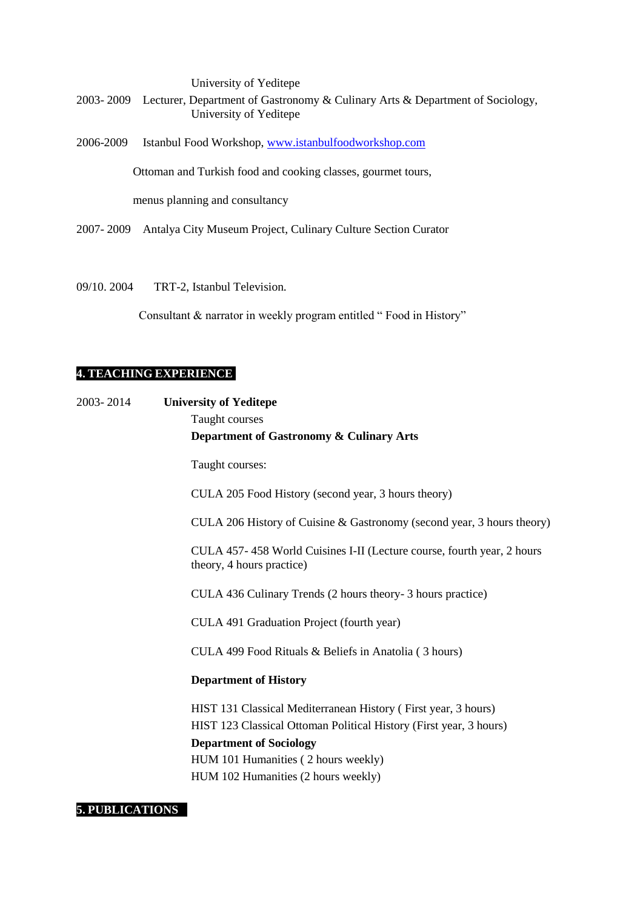University of Yeditepe 2003- 2009 Lecturer, Department of Gastronomy & Culinary Arts & Department of Sociology, University of Yeditepe 2006-2009 Istanbul Food Workshop, [www.istanbulfoodworkshop.com](http://www.istanbulfoodworkshop.com/) Ottoman and Turkish food and cooking classes, gourmet tours, menus planning and consultancy

- 2007- 2009 Antalya City Museum Project, Culinary Culture Section Curator
- 09/10. 2004 TRT-2, Istanbul Television.

Consultant & narrator in weekly program entitled "Food in History"

# **4. TEACHING EXPERIENCE**

2003- 2014 **University of Yeditepe** Taught courses **Department of Gastronomy & Culinary Arts**

Taught courses:

CULA 205 Food History (second year, 3 hours theory)

CULA 206 History of Cuisine & Gastronomy (second year, 3 hours theory)

CULA 457- 458 World Cuisines I-II (Lecture course, fourth year, 2 hours theory, 4 hours practice)

CULA 436 Culinary Trends (2 hours theory- 3 hours practice)

CULA 491 Graduation Project (fourth year)

CULA 499 Food Rituals & Beliefs in Anatolia ( 3 hours)

## **Department of History**

HIST 131 Classical Mediterranean History ( First year, 3 hours) HIST 123 Classical Ottoman Political History (First year, 3 hours) **Department of Sociology** HUM 101 Humanities ( 2 hours weekly) HUM 102 Humanities (2 hours weekly)

## **5. PUBLICATIONS**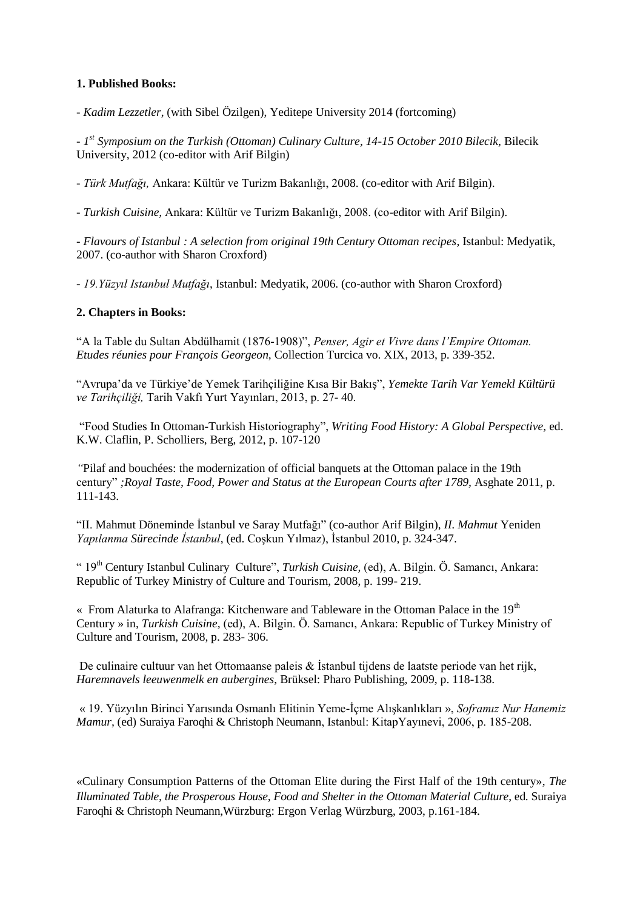# **1. Published Books:**

*- Kadim Lezzetler*, (with Sibel Özilgen), Yeditepe University 2014 (fortcoming)

*- 1 st Symposium on the Turkish (Ottoman) Culinary Culture, 14-15 October 2010 Bilecik*, Bilecik University, 2012 (co-editor with Arif Bilgin)

*- Türk Mutfağı,* Ankara: Kültür ve Turizm Bakanlığı, 2008. (co-editor with Arif Bilgin).

*- Turkish Cuisine,* Ankara: Kültür ve Turizm Bakanlığı, 2008. (co-editor with Arif Bilgin).

*- Flavours of Istanbul : A selection from original 19th Century Ottoman recipes*, Istanbul: Medyatik, 2007. (co-author with Sharon Croxford)

*- 19.Yüzyıl Istanbul Mutfağı*, Istanbul: Medyatik, 2006. (co-author with Sharon Croxford)

# **2. Chapters in Books:**

"A la Table du Sultan Abdülhamit (1876-1908)", *Penser, Agir et Vivre dans l'Empire Ottoman. Etudes réunies pour François Georgeon,* Collection Turcica vo. XIX, 2013, p. 339-352.

"Avrupa'da ve Türkiye'de Yemek Tarihçiliğine Kısa Bir Bakış", *Yemekte Tarih Var Yemekl Kültürü ve Tarihçiliği,* Tarih Vakfı Yurt Yayınları, 2013, p. 27- 40.

"Food Studies In Ottoman-Turkish Historiography", *Writing Food History: A Global Perspective,* ed. K.W. Claflin, P. Scholliers, Berg, 2012, p. 107-120

*"*Pilaf and bouchées: the modernization of official banquets at the Ottoman palace in the 19th century" *;Royal Taste, Food, Power and Status at the European Courts after 1789,* Asghate 2011, p. 111-143.

"II. Mahmut Döneminde İstanbul ve Saray Mutfağı" (co-author Arif Bilgin), *II. Mahmut* Yeniden *Yapılanma Sürecinde İstanbul*, (ed. Coşkun Yılmaz), İstanbul 2010, p. 324-347.

" 19th Century Istanbul Culinary Culture", *Turkish Cuisine,* (ed), A. Bilgin. Ö. Samancı, Ankara: Republic of Turkey Ministry of Culture and Tourism, 2008, p. 199- 219.

« From Alaturka to Alafranga: Kitchenware and Tableware in the Ottoman Palace in the  $19<sup>th</sup>$ Century » in, *Turkish Cuisine,* (ed), A. Bilgin. Ö. Samancı, Ankara: Republic of Turkey Ministry of Culture and Tourism, 2008, p. 283- 306.

De culinaire cultuur van het Ottomaanse paleis & İstanbul tijdens de laatste periode van het rijk, *Haremnavels leeuwenmelk en aubergines*, Brüksel: Pharo Publishing, 2009, p. 118-138.

« 19. Yüzyılın Birinci Yarısında Osmanlı Elitinin Yeme-İçme Alışkanlıkları », *Soframız Nur Hanemiz Mamur,* (ed) Suraiya Faroqhi & Christoph Neumann, Istanbul: KitapYayınevi, 2006, p. 185-208.

«Culinary Consumption Patterns of the Ottoman Elite during the First Half of the 19th century», *The Illuminated Table, the Prosperous House, Food and Shelter in the Ottoman Material Culture*, ed. Suraiya Faroqhi & Christoph Neumann,Würzburg: Ergon Verlag Würzburg, 2003, p.161-184.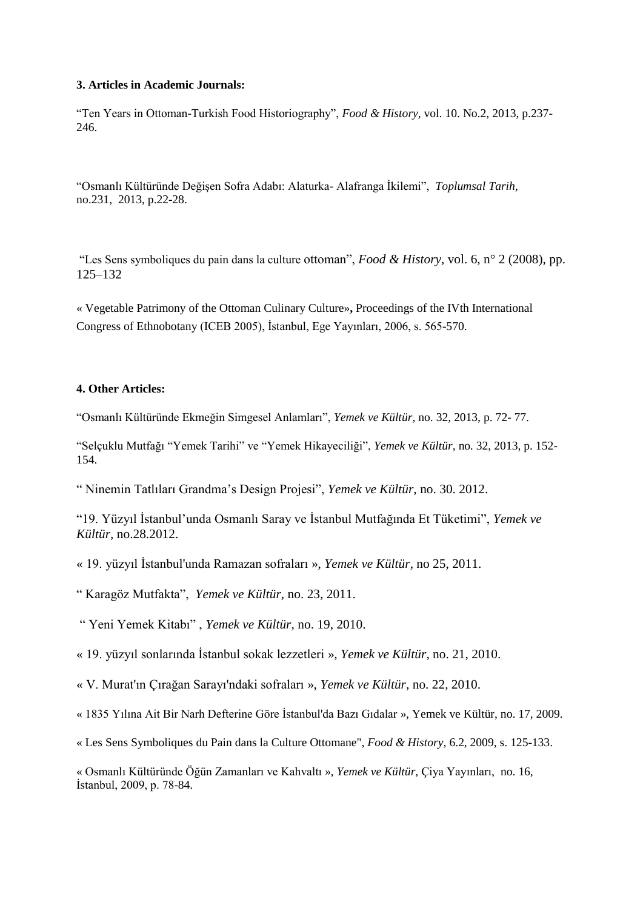#### **3. Articles in Academic Journals:**

"Ten Years in Ottoman-Turkish Food Historiography", *Food & History,* vol. 10. No.2, 2013, p.237- 246.

"Osmanlı Kültüründe Değişen Sofra Adabı: Alaturka- Alafranga İkilemi", *Toplumsal Tarih*, no.231, 2013, p.22-28.

"Les Sens symboliques du pain dans la culture ottoman", *Food & History*, vol. 6, n° 2 (2008), pp. 125–132

« Vegetable Patrimony of the Ottoman Culinary Culture»**,** Proceedings of the IVth International Congress of Ethnobotany (ICEB 2005), İstanbul, Ege Yayınları, 2006, s. 565-570.

# **4. Other Articles:**

"Osmanlı Kültüründe Ekmeğin Simgesel Anlamları", *Yemek ve Kültür,* no. 32, 2013, p. 72- 77.

"Selçuklu Mutfağı "Yemek Tarihi" ve "Yemek Hikayeciliği", *Yemek ve Kültür,* no. 32, 2013, p. 152- 154.

" Ninemin Tatlıları Grandma's Design Projesi", *Yemek ve Kültür,* no. 30. 2012.

"19. Yüzyıl İstanbul'unda Osmanlı Saray ve İstanbul Mutfağında Et Tüketimi", *Yemek ve Kültür,* no.28.2012.

« 19. yüzyıl İstanbul'unda Ramazan sofraları », *Yemek ve Kültür*, no 25, 2011.

" Karagöz Mutfakta", *Yemek ve Kültür,* no. 23, 2011.

" Yeni Yemek Kitabı" , *Yemek ve Kültür*, no. 19, 2010.

« 19. yüzyıl sonlarında İstanbul sokak lezzetleri », *Yemek ve Kültür*, no. 21, 2010.

« V. Murat'ın Çırağan Sarayı'ndaki sofraları », *Yemek ve Kültür*, no. 22, 2010.

« 1835 Yılına Ait Bir Narh Defterine Göre İstanbul'da Bazı Gıdalar », Yemek ve Kültür, no. 17, 2009.

« Les Sens Symboliques du Pain dans la Culture Ottomane", *Food & History*, 6.2, 2009, s. 125-133.

« Osmanlı Kültüründe Öğün Zamanları ve Kahvaltı », *Yemek ve Kültür,* Çiya Yayınları, no. 16, İstanbul, 2009, p. 78-84.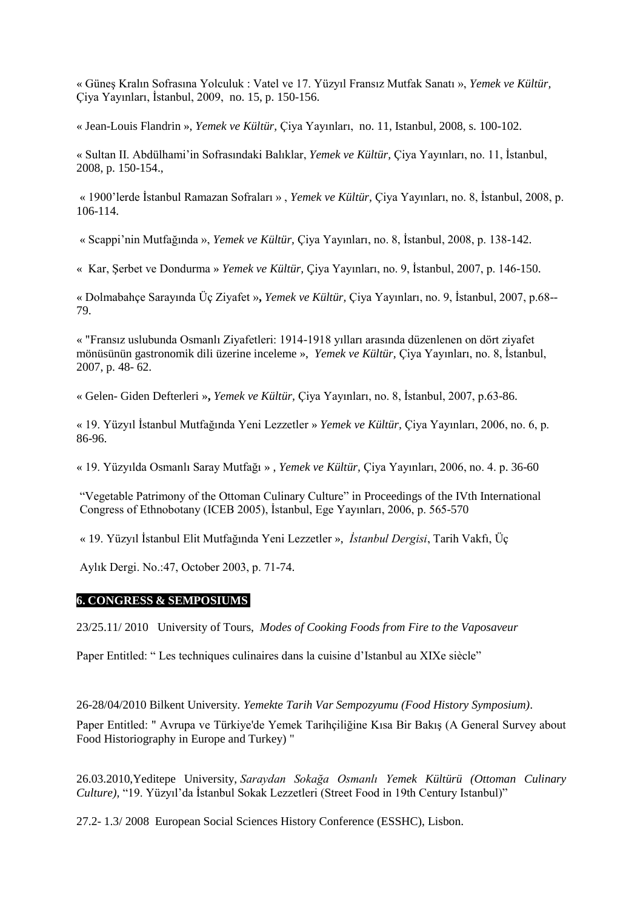« Güneş Kralın Sofrasına Yolculuk : Vatel ve 17. Yüzyıl Fransız Mutfak Sanatı », *Yemek ve Kültür,*  Çiya Yayınları, İstanbul, 2009, no. 15, p. 150-156.

« Jean-Louis Flandrin », *Yemek ve Kültür,* Çiya Yayınları, no. 11, Istanbul, 2008, s. 100-102.

« Sultan II. Abdülhami'in Sofrasındaki Balıklar, *Yemek ve Kültür,* Çiya Yayınları, no. 11, İstanbul, 2008, p. 150-154.,

« 1900'lerde İstanbul Ramazan Sofraları » , *Yemek ve Kültür,* Çiya Yayınları, no. 8, İstanbul, 2008, p. 106-114.

« Scappi'nin Mutfağında », *Yemek ve Kültür,* Çiya Yayınları, no. 8, İstanbul, 2008, p. 138-142.

« Kar, Şerbet ve Dondurma » *Yemek ve Kültür,* Çiya Yayınları, no. 9, İstanbul, 2007, p. 146-150.

« Dolmabahçe Sarayında Üç Ziyafet »**,** *Yemek ve Kültür,* Çiya Yayınları, no. 9, İstanbul, 2007, p.68-- 79.

« "Fransız uslubunda Osmanlı Ziyafetleri: 1914-1918 yılları arasında düzenlenen on dört ziyafet mönüsünün gastronomik dili üzerine inceleme », *Yemek ve Kültür,* Çiya Yayınları, no. 8, İstanbul, 2007, p. 48- 62.

« Gelen- Giden Defterleri »**,** *Yemek ve Kültür,* Çiya Yayınları, no. 8, İstanbul, 2007, p.63-86.

« 19. Yüzyıl İstanbul Mutfağında Yeni Lezzetler » *Yemek ve Kültür,* Çiya Yayınları, 2006, no. 6, p. 86-96.

« 19. Yüzyılda Osmanlı Saray Mutfağı » , *Yemek ve Kültür,* Çiya Yayınları, 2006, no. 4. p. 36-60

"Vegetable Patrimony of the Ottoman Culinary Culture" in Proceedings of the IVth International Congress of Ethnobotany (ICEB 2005), İstanbul, Ege Yayınları, 2006, p. 565-570

« 19. Yüzyıl İstanbul Elit Mutfağında Yeni Lezzetler », *İstanbul Dergisi*, Tarih Vakfı, Üç

Aylık Dergi. No.:47, October 2003, p. 71-74.

#### **6. CONGRESS & SEMPOSIUMS**

23/25.11/ 2010 University of Tours, *Modes of Cooking Foods from Fire to the Vaposaveur*

Paper Entitled: " Les techniques culinaires dans la cuisine d'Istanbul au XIXe siècle"

26-28/04/2010 Bilkent University*. Yemekte Tarih Var Sempozyumu (Food History Symposium)*.

Paper Entitled: " Avrupa ve Türkiye'de Yemek Tarihçiliğine Kısa Bir Bakış (A General Survey about Food Historiography in Europe and Turkey) "

26.03.2010,Yeditepe University, *Saraydan Sokağa Osmanlı Yemek Kültürü (Ottoman Culinary Culture),* "19. Yüzyıl'da İstanbul Sokak Lezzetleri (Street Food in 19th Century Istanbul)"

27.2- 1.3/ 2008 European Social Sciences History Conference (ESSHC), Lisbon.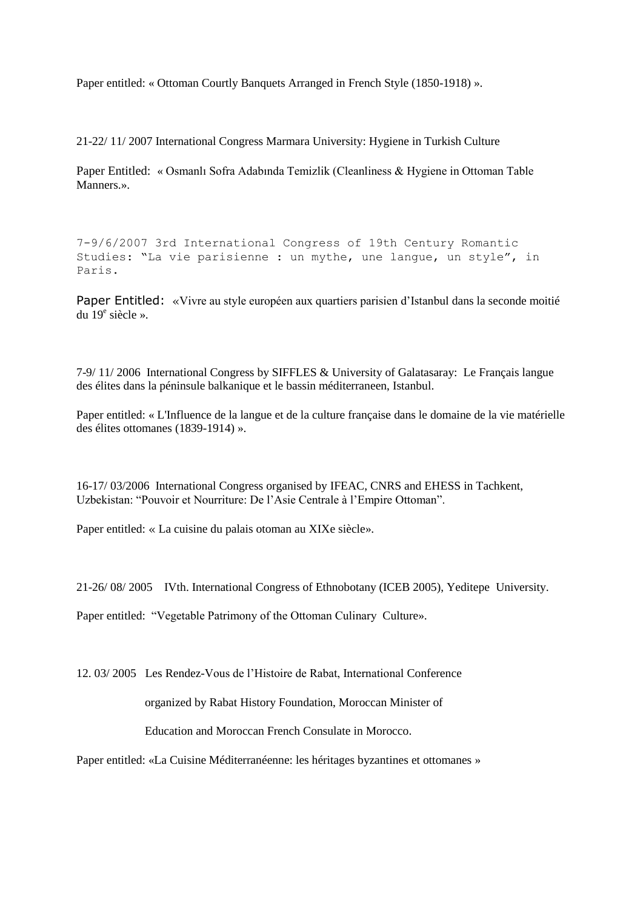Paper entitled: « Ottoman Courtly Banquets Arranged in French Style (1850-1918) ».

21-22/ 11/ 2007 International Congress Marmara University: Hygiene in Turkish Culture

Paper Entitled: « Osmanlı Sofra Adabında Temizlik (Cleanliness & Hygiene in Ottoman Table Manners.».

7-9/6/2007 3rd International Congress of 19th Century Romantic Studies: "La vie parisienne : un mythe, une langue, un style", in Paris.

Paper Entitled: «Vivre au style européen aux quartiers parisien d'Istanbul dans la seconde moitié du 19<sup>e</sup> siècle ».

7-9/ 11/ 2006 International Congress by SIFFLES & University of Galatasaray: Le Français langue des élites dans la péninsule balkanique et le bassin méditerraneen, Istanbul.

Paper entitled: « L'Influence de la langue et de la culture française dans le domaine de la vie matérielle des élites ottomanes (1839-1914) ».

16-17/ 03/2006 International Congress organised by IFEAC, CNRS and EHESS in Tachkent, Uzbekistan: "Pouvoir et Nourriture: De l'Asie Centrale à l'Empire Ottoman".

Paper entitled: « La cuisine du palais otoman au XIXe siècle».

21-26/ 08/ 2005 IVth. International Congress of Ethnobotany (ICEB 2005), Yeditepe University.

Paper entitled: "Vegetable Patrimony of the Ottoman Culinary Culture».

12. 03/ 2005 Les Rendez-Vous de l'Histoire de Rabat, International Conference

organized by Rabat History Foundation, Moroccan Minister of

Education and Moroccan French Consulate in Morocco.

Paper entitled: «La Cuisine Méditerranéenne: les héritages byzantines et ottomanes »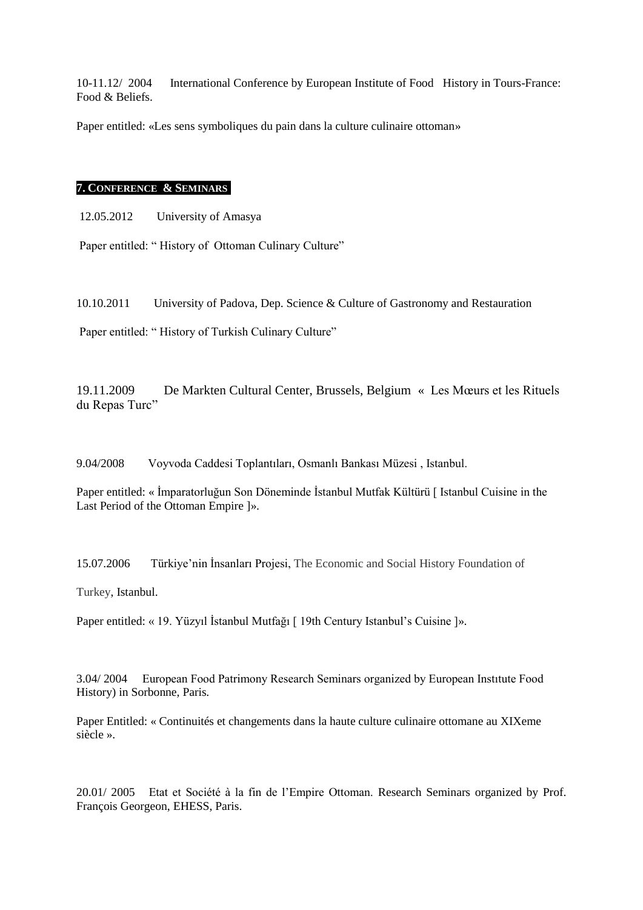10-11.12/ 2004 International Conference by European Institute of Food History in Tours-France: Food & Beliefs.

Paper entitled: «Les sens symboliques du pain dans la culture culinaire ottoman»

#### **7. CONFERENCE & SEMINARS İEN**

12.05.2012 University of Amasya

Paper entitled: "History of Ottoman Culinary Culture"

10.10.2011 University of Padova, Dep. Science & Culture of Gastronomy and Restauration

Paper entitled: "History of Turkish Culinary Culture"

19.11.2009 De Markten Cultural Center, Brussels, Belgium « Les Mœurs et les Rituels du Repas Turc"

9.04/2008 Voyvoda Caddesi Toplantıları, Osmanlı Bankası Müzesi , Istanbul.

Paper entitled: « İmparatorluğun Son Döneminde İstanbul Mutfak Kültürü [ Istanbul Cuisine in the Last Period of the Ottoman Empire ]».

15.07.2006 Türkiye'nin İnsanları Projesi, The Economic and Social History Foundation of

Turkey, Istanbul.

Paper entitled: « 19. Yüzyıl İstanbul Mutfağı [ 19th Century Istanbul's Cuisine ]».

3.04/ 2004 European Food Patrimony Research Seminars organized by European Instıtute Food History) in Sorbonne, Paris.

Paper Entitled: « Continuités et changements dans la haute culture culinaire ottomane au XIXeme siècle ».

20.01/ 2005 Etat et Société à la fin de l'Empire Ottoman. Research Seminars organized by Prof. François Georgeon, EHESS, Paris.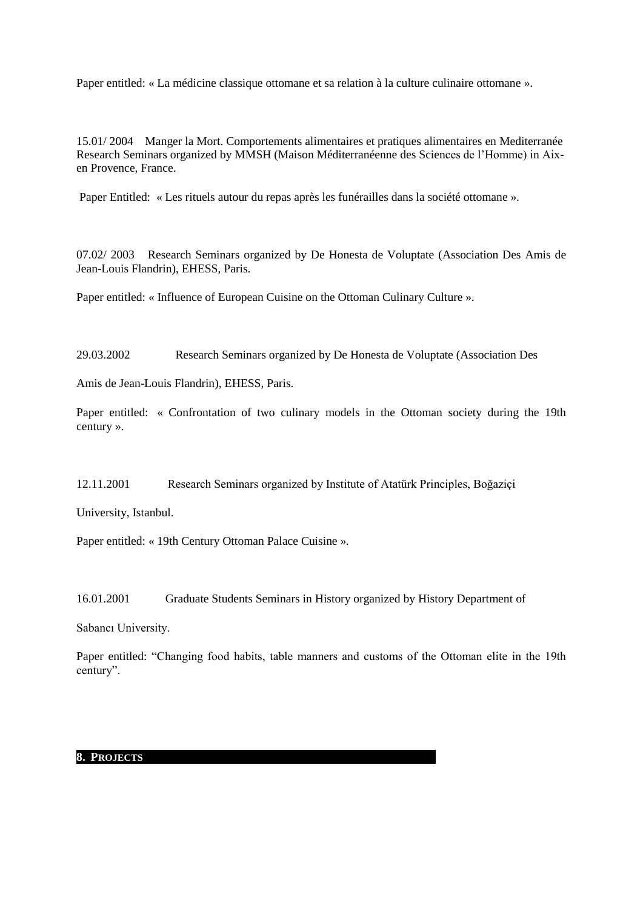Paper entitled: « La médicine classique ottomane et sa relation à la culture culinaire ottomane ».

15.01/ 2004 Manger la Mort. Comportements alimentaires et pratiques alimentaires en Mediterranée Research Seminars organized by MMSH (Maison Méditerranéenne des Sciences de l'Homme) in Aixen Provence, France.

Paper Entitled: « Les rituels autour du repas après les funérailles dans la société ottomane ».

07.02/ 2003 Research Seminars organized by De Honesta de Voluptate (Association Des Amis de Jean-Louis Flandrin), EHESS, Paris.

Paper entitled: « Influence of European Cuisine on the Ottoman Culinary Culture ».

29.03.2002 Research Seminars organized by De Honesta de Voluptate (Association Des

Amis de Jean-Louis Flandrin), EHESS, Paris.

Paper entitled: « Confrontation of two culinary models in the Ottoman society during the 19th century ».

12.11.2001 Research Seminars organized by Institute of Atatürk Principles, Boğaziçi

University, Istanbul.

Paper entitled: « 19th Century Ottoman Palace Cuisine ».

16.01.2001 Graduate Students Seminars in History organized by History Department of

Sabancı University.

Paper entitled: "Changing food habits, table manners and customs of the Ottoman elite in the 19th century".

#### **8. PROJECTS**